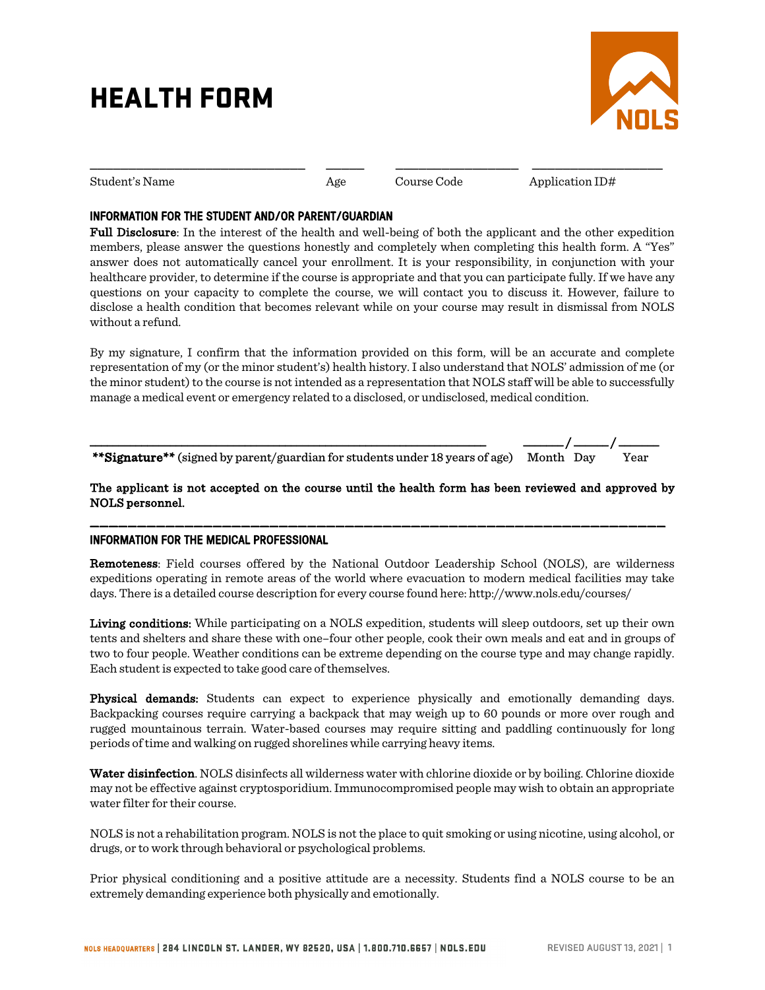# HEALTH FORM



Student's Name Age Application ID#

#### INFORMATION FOR THE STUDENT AND/OR PARENT/GUARDIAN

Full Disclosure: In the interest of the health and well-being of both the applicant and the other expedition members, please answer the questions honestly and completely when completing this health form. A "Yes" answer does not automatically cancel your enrollment. It is your responsibility, in conjunction with your healthcare provider, to determine if the course is appropriate and that you can participate fully. If we have any questions on your capacity to complete the course, we will contact you to discuss it. However, failure to disclose a health condition that becomes relevant while on your course may result in dismissal from NOLS without a refund.

\_\_\_\_\_\_\_\_\_\_\_\_\_\_\_\_\_\_\_\_\_\_\_\_\_\_\_\_ \_\_\_\_\_ \_\_\_\_\_\_\_\_\_\_\_\_\_\_\_\_ \_\_\_\_\_\_\_\_\_\_\_\_\_\_\_\_\_

By my signature, I confirm that the information provided on this form, will be an accurate and complete representation of my (or the minor student's) health history. I also understand that NOLS' admission of me (or the minor student) to the course is not intended as a representation that NOLS staff will be able to successfully manage a medical event or emergency related to a disclosed, or undisclosed, medical condition.

\_\_\_\_\_\_\_\_\_\_\_\_\_\_\_\_\_\_\_\_\_\_\_\_\_\_\_\_\_\_\_\_\_\_\_\_\_\_\_\_\_\_\_\_\_\_\_\_\_\_\_\_\_\_\_\_\_\_\_\_\_\_\_\_\_\_\_\_\_ \_\_\_\_\_\_\_ / \_\_\_\_\_\_ / \_\_\_\_\_\_\_ \*\*Signature\*\* (signed by parent/guardian for students under 18 years of age) Month Day Year

#### The applicant is not accepted on the course until the health form has been reviewed and approved by NOLS personnel.

\_\_\_\_\_\_\_\_\_\_\_\_\_\_\_\_\_\_\_\_\_\_\_\_\_\_\_\_\_\_\_\_\_\_\_\_\_\_\_\_\_\_\_\_\_\_\_\_\_\_\_\_\_\_\_\_\_\_\_\_\_

#### INFORMATION FOR THE MEDICAL PROFESSIONAL

Remoteness: Field courses offered by the National Outdoor Leadership School (NOLS), are wilderness expeditions operating in remote areas of the world where evacuation to modern medical facilities may take days. There is a detailed course description for every course found here: http://www.nols.edu/courses/

Living conditions: While participating on a NOLS expedition, students will sleep outdoors, set up their own tents and shelters and share these with one–four other people, cook their own meals and eat and in groups of two to four people. Weather conditions can be extreme depending on the course type and may change rapidly. Each student is expected to take good care of themselves.

Physical demands: Students can expect to experience physically and emotionally demanding days. Backpacking courses require carrying a backpack that may weigh up to 60 pounds or more over rough and rugged mountainous terrain. Water-based courses may require sitting and paddling continuously for long periods of time and walking on rugged shorelines while carrying heavy items.

Water disinfection. NOLS disinfects all wilderness water with chlorine dioxide or by boiling. Chlorine dioxide may not be effective against cryptosporidium. Immunocompromised people may wish to obtain an appropriate water filter for their course.

NOLS is not a rehabilitation program. NOLS is not the place to quit smoking or using nicotine, using alcohol, or drugs, or to work through behavioral or psychological problems.

Prior physical conditioning and a positive attitude are a necessity. Students find a NOLS course to be an extremely demanding experience both physically and emotionally.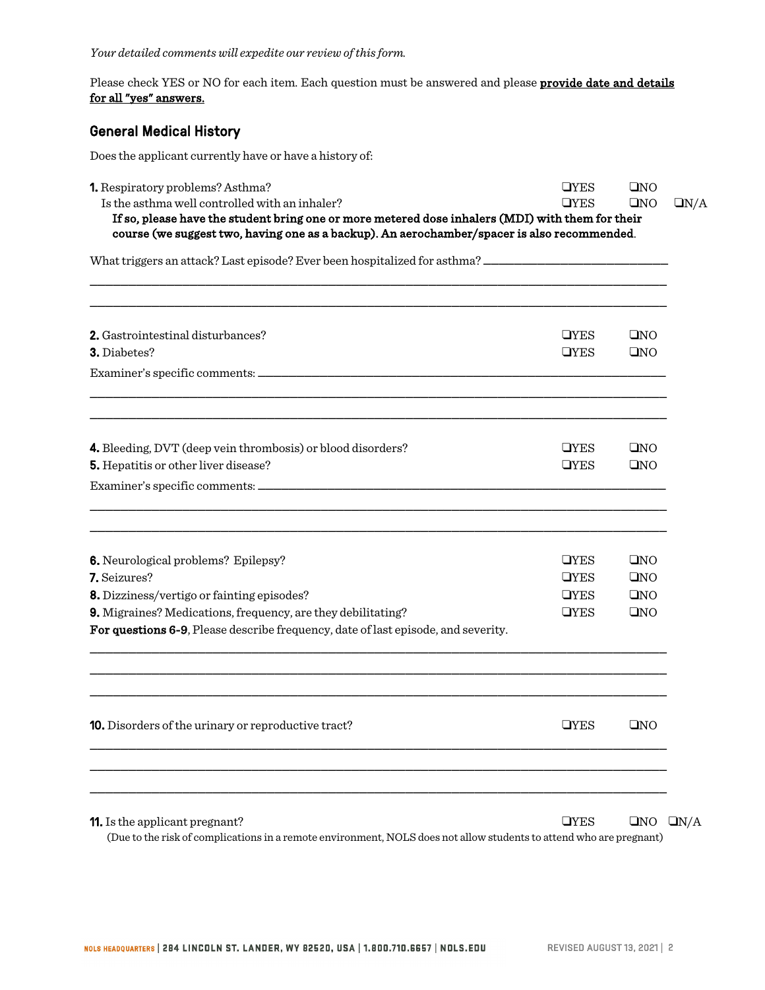Please check YES or NO for each item. Each question must be answered and please provide date and details for all "yes" answers.

## General Medical History

Does the applicant currently have or have a history of:

| 1. Respiratory problems? Asthma?<br>Is the asthma well controlled with an inhaler?                                                                                                              | <b>OYES</b><br><b>OYES</b> | QNO<br>QNO | QN/A                 |
|-------------------------------------------------------------------------------------------------------------------------------------------------------------------------------------------------|----------------------------|------------|----------------------|
| If so, please have the student bring one or more metered dose inhalers (MDI) with them for their<br>course (we suggest two, having one as a backup). An aerochamber/spacer is also recommended. |                            |            |                      |
| What triggers an attack? Last episode? Ever been hospitalized for asthma? __________________________                                                                                            |                            |            |                      |
| 2. Gastrointestinal disturbances?<br>3. Diabetes?                                                                                                                                               | <b>OYES</b><br><b>OYES</b> | QNO<br>QNO |                      |
|                                                                                                                                                                                                 |                            |            |                      |
| 4. Bleeding, DVT (deep vein thrombosis) or blood disorders?                                                                                                                                     | <b>OYES</b>                | QNO        |                      |
| 5. Hepatitis or other liver disease?                                                                                                                                                            | <b>OYES</b>                | QNO        |                      |
| <b>6.</b> Neurological problems? Epilepsy?                                                                                                                                                      | <b>OYES</b>                | QNO        |                      |
| 7. Seizures?                                                                                                                                                                                    | <b>OYES</b>                | QNO        |                      |
| 8. Dizziness/vertigo or fainting episodes?<br>9. Migraines? Medications, frequency, are they debilitating?<br>For questions 6-9, Please describe frequency, date of last episode, and severity. | <b>OYES</b><br><b>OYES</b> | QNO<br>QNO |                      |
|                                                                                                                                                                                                 |                            |            |                      |
| <b>10.</b> Disorders of the urinary or reproductive tract?                                                                                                                                      | <b>OYES</b>                | QNO        |                      |
|                                                                                                                                                                                                 |                            |            |                      |
| 11. Is the applicant pregnant?                                                                                                                                                                  | <b>OYES</b>                |            | $\Box$ NO $\Box$ N/A |

(Due to the risk of complications in a remote environment, NOLS does not allow students to attend who are pregnant)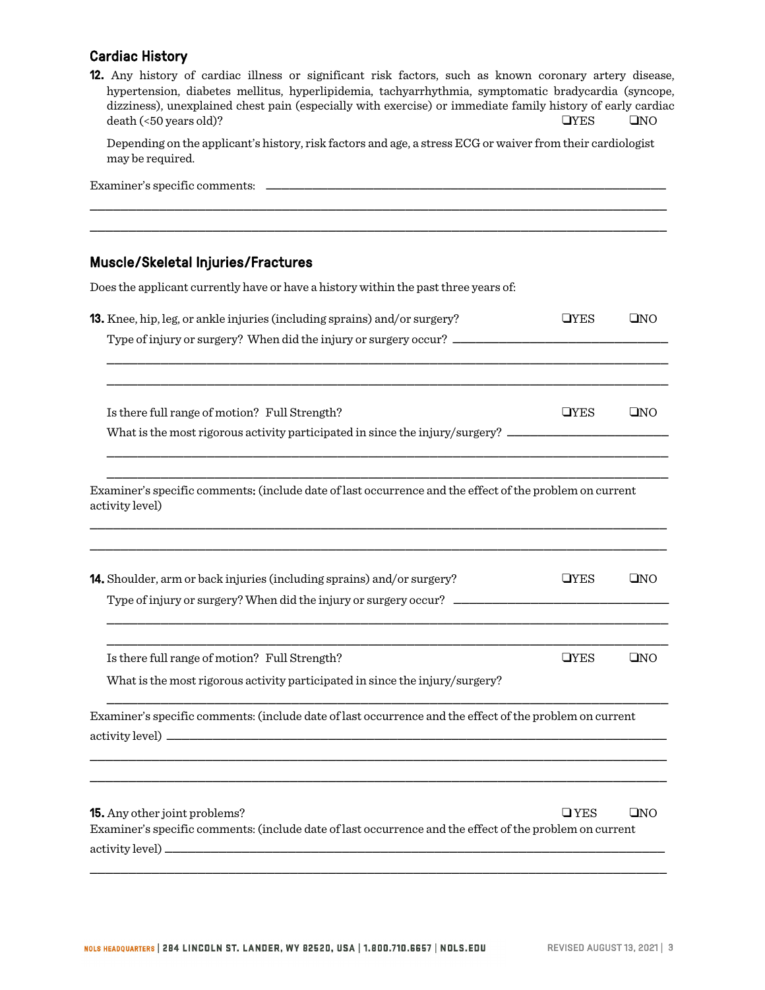## Cardiac History

|                                         |  |  | <b>12.</b> Any history of cardiac illness or significant risk factors, such as known coronary artery disease, |  |  |             |              |
|-----------------------------------------|--|--|---------------------------------------------------------------------------------------------------------------|--|--|-------------|--------------|
|                                         |  |  | hypertension, diabetes mellitus, hyperlipidemia, tachyarrhythmia, symptomatic bradycardia (syncope,           |  |  |             |              |
|                                         |  |  | dizziness), unexplained chest pain (especially with exercise) or immediate family history of early cardiac    |  |  |             |              |
| $death \left( < 50 \right)$ vears old)? |  |  |                                                                                                               |  |  | <b>OYES</b> | $\square$ NO |

Depending on the applicant's history, risk factors and age, a stress ECG or waiver from their cardiologist may be required.

| Examiner's specific comments: |  |  |  |  |  |
|-------------------------------|--|--|--|--|--|
|                               |  |  |  |  |  |
|                               |  |  |  |  |  |

\_\_\_\_\_\_\_\_\_\_\_\_\_\_\_\_\_\_\_\_\_\_\_\_\_\_\_\_\_\_\_\_\_\_\_\_\_\_\_\_\_\_\_\_\_\_\_\_\_\_\_\_\_\_\_\_\_\_\_\_\_\_\_\_\_\_\_\_\_\_\_\_\_\_\_

## Muscle/Skeletal Injuries/Fractures

Does the applicant currently have or have a history within the past three years of:

| <b>13.</b> Knee, hip, leg, or ankle injuries (including sprains) and/or surgery?                                                         | <b>OYES</b> | QNO |
|------------------------------------------------------------------------------------------------------------------------------------------|-------------|-----|
|                                                                                                                                          |             |     |
|                                                                                                                                          |             |     |
| Is there full range of motion? Full Strength?                                                                                            | <b>OYES</b> | QNO |
| What is the most rigorous activity participated in since the injury/surgery? _______________________                                     |             |     |
| Examiner's specific comments: (include date of last occurrence and the effect of the problem on current<br>activity level)               |             |     |
| <b>14.</b> Shoulder, arm or back injuries (including sprains) and/or surgery?                                                            | <b>TYES</b> | QNO |
| Is there full range of motion? Full Strength?                                                                                            | <b>OYES</b> | QNO |
| What is the most rigorous activity participated in since the injury/surgery?                                                             |             |     |
| Examiner's specific comments: (include date of last occurrence and the effect of the problem on current                                  |             |     |
|                                                                                                                                          |             |     |
| 15. Any other joint problems?<br>Examiner's specific comments: (include date of last occurrence and the effect of the problem on current | $\Box$ YES  | QNO |
|                                                                                                                                          |             |     |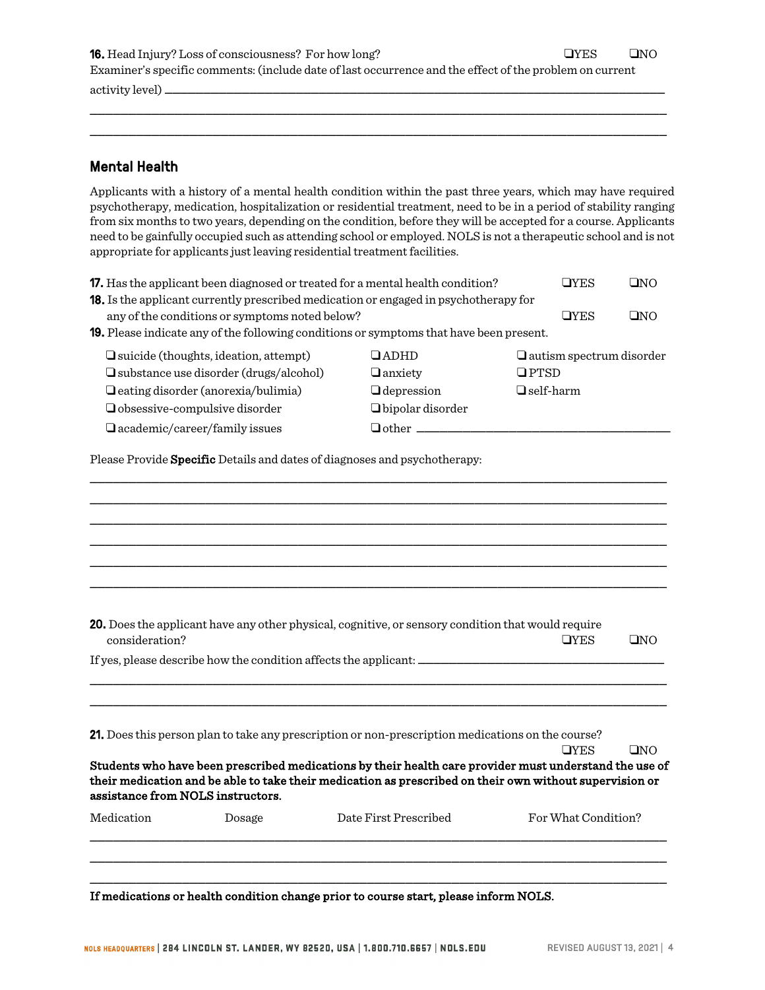16. Head Injury? Loss of consciousness? For how long? !YES !NO Examiner's specific comments: (include date of last occurrence and the effect of the problem on current activity level) \_\_\_\_\_\_\_\_\_\_\_\_\_\_\_\_\_\_\_\_\_\_\_\_\_\_\_\_\_\_\_\_\_\_\_\_\_\_\_\_\_\_\_\_\_\_\_\_\_\_\_\_\_\_\_\_\_\_\_\_\_\_\_\_\_

\_\_\_\_\_\_\_\_\_\_\_\_\_\_\_\_\_\_\_\_\_\_\_\_\_\_\_\_\_\_\_\_\_\_\_\_\_\_\_\_\_\_\_\_\_\_\_\_\_\_\_\_\_\_\_\_\_\_\_\_\_\_\_\_\_\_\_\_\_\_\_\_\_\_\_ \_\_\_\_\_\_\_\_\_\_\_\_\_\_\_\_\_\_\_\_\_\_\_\_\_\_\_\_\_\_\_\_\_\_\_\_\_\_\_\_\_\_\_\_\_\_\_\_\_\_\_\_\_\_\_\_\_\_\_\_\_\_\_\_\_\_\_\_\_\_\_\_\_\_\_

#### Mental Health

Applicants with a history of a mental health condition within the past three years, which may have required psychotherapy, medication, hospitalization or residential treatment, need to be in a period of stability ranging from six months to two years, depending on the condition, before they will be accepted for a course. Applicants need to be gainfully occupied such as attending school or employed. NOLS is not a therapeutic school and is not appropriate for applicants just leaving residential treatment facilities.

| <b>17.</b> Has the applicant been diagnosed or treated for a mental health condition?                                                                                           | <b>OYES</b>                                                        | $\square$ NO                                                                                                                                                                                                                                                                                                                                    |                                    |              |
|---------------------------------------------------------------------------------------------------------------------------------------------------------------------------------|--------------------------------------------------------------------|-------------------------------------------------------------------------------------------------------------------------------------------------------------------------------------------------------------------------------------------------------------------------------------------------------------------------------------------------|------------------------------------|--------------|
|                                                                                                                                                                                 | any of the conditions or symptoms noted below?                     | <b>18.</b> Is the applicant currently prescribed medication or engaged in psychotherapy for                                                                                                                                                                                                                                                     | <b>OYES</b>                        | QNO          |
|                                                                                                                                                                                 |                                                                    | <b>19.</b> Please indicate any of the following conditions or symptoms that have been present.                                                                                                                                                                                                                                                  |                                    |              |
| $\Box$ suicide (thoughts, ideation, attempt)<br>□ substance use disorder (drugs/alcohol)<br><b>Q</b> eating disorder (anorexia/bulimia)<br>$\Box$ obsessive-compulsive disorder | $\Box$ autism spectrum disorder<br>$\Box$ PTSD<br>$\Box$ self-harm |                                                                                                                                                                                                                                                                                                                                                 |                                    |              |
|                                                                                                                                                                                 | $\Box$ academic/career/family issues                               | $\Box$ other                                                                                                                                                                                                                                                                                                                                    |                                    |              |
| consideration?                                                                                                                                                                  |                                                                    | 20. Does the applicant have any other physical, cognitive, or sensory condition that would require<br>If yes, please describe how the condition affects the applicant: __________                                                                                                                                                               | <b>OYES</b>                        | QNO          |
| assistance from NOLS instructors.<br>Medication                                                                                                                                 | Dosage                                                             | 21. Does this person plan to take any prescription or non-prescription medications on the course?<br>Students who have been prescribed medications by their health care provider must understand the use of<br>their medication and be able to take their medication as prescribed on their own without supervision or<br>Date First Prescribed | <b>OYES</b><br>For What Condition? | $\square$ NO |
|                                                                                                                                                                                 |                                                                    |                                                                                                                                                                                                                                                                                                                                                 |                                    |              |

If medications or health condition change prior to course start, please inform NOLS.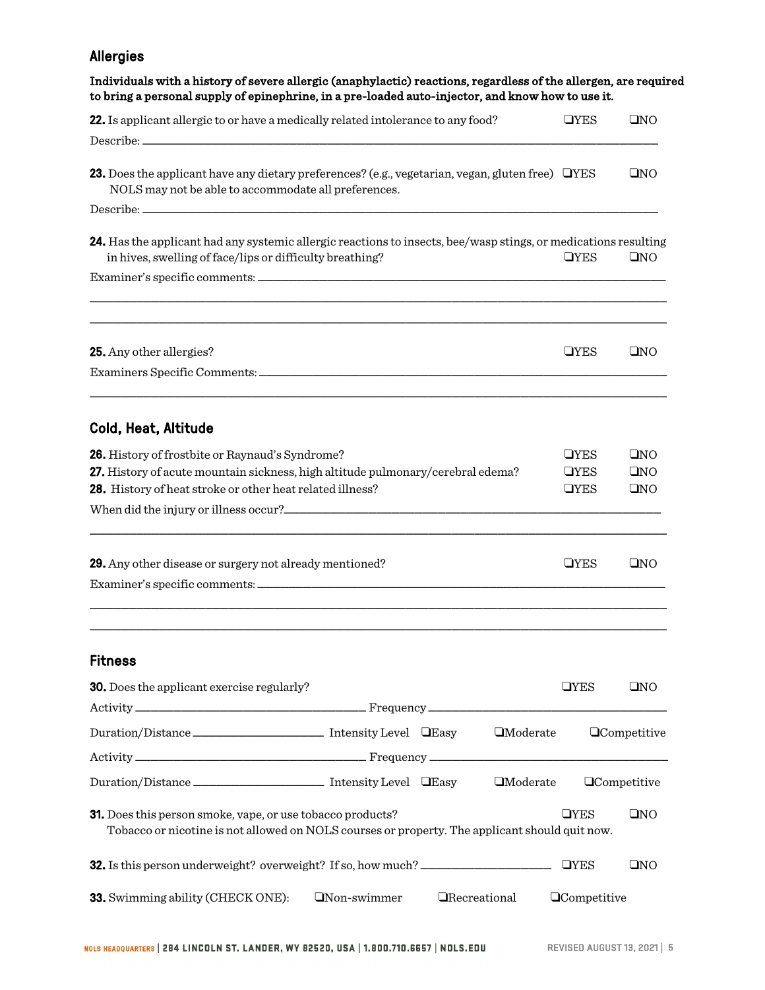## Allergies

| 22. Is applicant allergic to or have a medically related intolerance to any food?                                                                                           |                    |                       |                   | <b>OYES</b>         | QNO                 |
|-----------------------------------------------------------------------------------------------------------------------------------------------------------------------------|--------------------|-----------------------|-------------------|---------------------|---------------------|
|                                                                                                                                                                             |                    |                       |                   |                     |                     |
| <b>23.</b> Does the applicant have any dietary preferences? (e.g., vegetarian, vegan, gluten free) $\Box$ YES<br>NOLS may not be able to accommodate all preferences.       |                    |                       |                   |                     | QNO                 |
|                                                                                                                                                                             |                    |                       |                   |                     |                     |
| 24. Has the applicant had any systemic allergic reactions to insects, bee/wasp stings, or medications resulting<br>in hives, swelling of face/lips or difficulty breathing? |                    |                       |                   | <b>OYES</b>         | QNO                 |
|                                                                                                                                                                             |                    |                       |                   |                     |                     |
|                                                                                                                                                                             |                    |                       |                   |                     |                     |
| 25. Any other allergies?                                                                                                                                                    |                    |                       |                   | <b>OYES</b>         | QNO                 |
|                                                                                                                                                                             |                    |                       |                   |                     |                     |
| Cold, Heat, Altitude                                                                                                                                                        |                    |                       |                   |                     |                     |
| 26. History of frostbite or Raynaud's Syndrome?                                                                                                                             |                    |                       |                   | <b>OYES</b>         | QNO                 |
| 27. History of acute mountain sickness, high altitude pulmonary/cerebral edema?                                                                                             |                    |                       |                   | <b>OYES</b>         | QNO                 |
| 28. History of heat stroke or other heat related illness?                                                                                                                   |                    |                       |                   | <b>OYES</b>         | QNO                 |
|                                                                                                                                                                             |                    |                       |                   |                     |                     |
| 29. Any other disease or surgery not already mentioned?                                                                                                                     |                    |                       |                   | <b>OYES</b>         | QNO                 |
|                                                                                                                                                                             |                    |                       |                   |                     |                     |
|                                                                                                                                                                             |                    |                       |                   |                     |                     |
| <b>Fitness</b>                                                                                                                                                              |                    |                       |                   |                     |                     |
| <b>30.</b> Does the applicant exercise regularly?                                                                                                                           |                    |                       |                   | <b>OYES</b>         | QNO                 |
| Duration/Distance _________________________ Intensity Level LEasy                                                                                                           |                    |                       | $\Box$ Moderate   |                     | <b>QCompetitive</b> |
|                                                                                                                                                                             |                    |                       |                   |                     |                     |
| Duration/Distance _________________________ Intensity Level DEasy                                                                                                           |                    |                       | <b>I</b> Moderate |                     | <b>QCompetitive</b> |
| <b>31.</b> Does this person smoke, vape, or use tobacco products?<br>Tobacco or nicotine is not allowed on NOLS courses or property. The applicant should quit now.         |                    |                       |                   | <b>OYES</b>         | QNO                 |
| <b>32.</b> Is this person underweight? overweight? If so, how much? ___________________                                                                                     |                    |                       |                   | <b>OYES</b>         | QNO                 |
| 33. Swimming ability (CHECK ONE):                                                                                                                                           | $\Box$ Non-swimmer | <b>O</b> Recreational |                   | <b>QCompetitive</b> |                     |